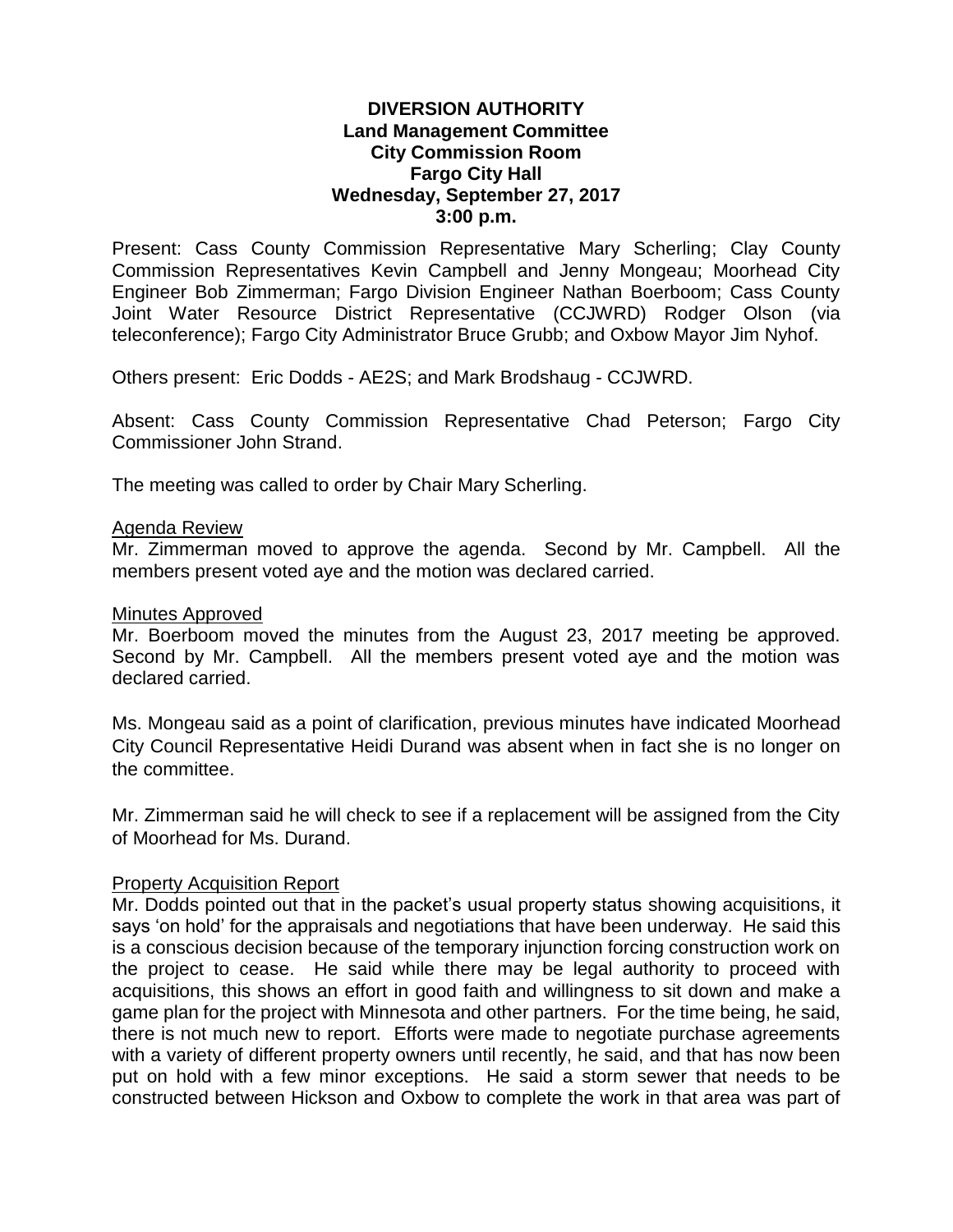## **DIVERSION AUTHORITY Land Management Committee City Commission Room Fargo City Hall Wednesday, September 27, 2017 3:00 p.m.**

Present: Cass County Commission Representative Mary Scherling; Clay County Commission Representatives Kevin Campbell and Jenny Mongeau; Moorhead City Engineer Bob Zimmerman; Fargo Division Engineer Nathan Boerboom; Cass County Joint Water Resource District Representative (CCJWRD) Rodger Olson (via teleconference); Fargo City Administrator Bruce Grubb; and Oxbow Mayor Jim Nyhof.

Others present: Eric Dodds - AE2S; and Mark Brodshaug - CCJWRD.

Absent: Cass County Commission Representative Chad Peterson; Fargo City Commissioner John Strand.

The meeting was called to order by Chair Mary Scherling.

### Agenda Review

Mr. Zimmerman moved to approve the agenda. Second by Mr. Campbell. All the members present voted aye and the motion was declared carried.

#### Minutes Approved

Mr. Boerboom moved the minutes from the August 23, 2017 meeting be approved. Second by Mr. Campbell. All the members present voted aye and the motion was declared carried.

Ms. Mongeau said as a point of clarification, previous minutes have indicated Moorhead City Council Representative Heidi Durand was absent when in fact she is no longer on the committee.

Mr. Zimmerman said he will check to see if a replacement will be assigned from the City of Moorhead for Ms. Durand.

### Property Acquisition Report

Mr. Dodds pointed out that in the packet's usual property status showing acquisitions, it says 'on hold' for the appraisals and negotiations that have been underway. He said this is a conscious decision because of the temporary injunction forcing construction work on the project to cease. He said while there may be legal authority to proceed with acquisitions, this shows an effort in good faith and willingness to sit down and make a game plan for the project with Minnesota and other partners. For the time being, he said, there is not much new to report. Efforts were made to negotiate purchase agreements with a variety of different property owners until recently, he said, and that has now been put on hold with a few minor exceptions. He said a storm sewer that needs to be constructed between Hickson and Oxbow to complete the work in that area was part of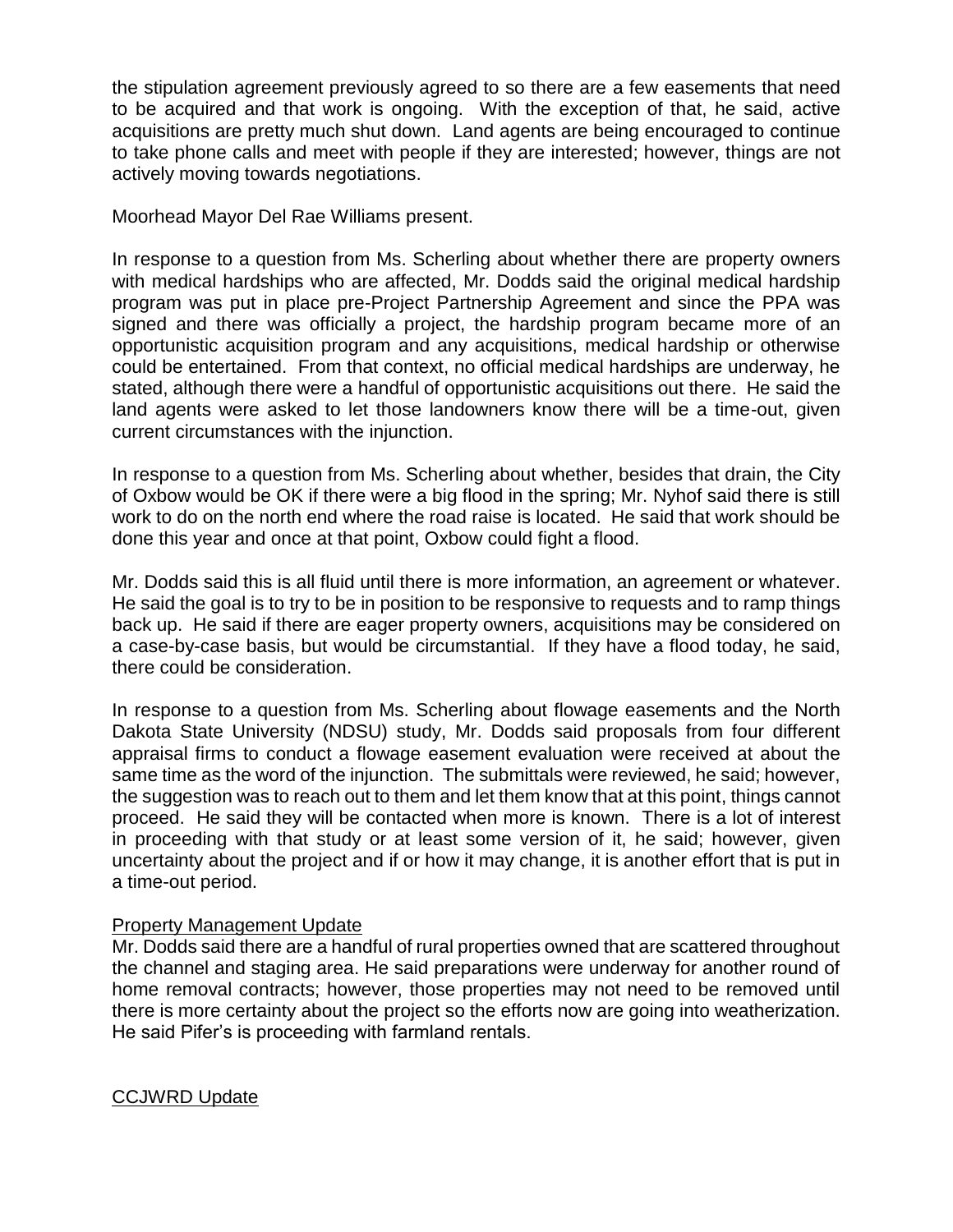the stipulation agreement previously agreed to so there are a few easements that need to be acquired and that work is ongoing. With the exception of that, he said, active acquisitions are pretty much shut down. Land agents are being encouraged to continue to take phone calls and meet with people if they are interested; however, things are not actively moving towards negotiations.

Moorhead Mayor Del Rae Williams present.

In response to a question from Ms. Scherling about whether there are property owners with medical hardships who are affected, Mr. Dodds said the original medical hardship program was put in place pre-Project Partnership Agreement and since the PPA was signed and there was officially a project, the hardship program became more of an opportunistic acquisition program and any acquisitions, medical hardship or otherwise could be entertained. From that context, no official medical hardships are underway, he stated, although there were a handful of opportunistic acquisitions out there. He said the land agents were asked to let those landowners know there will be a time-out, given current circumstances with the injunction.

In response to a question from Ms. Scherling about whether, besides that drain, the City of Oxbow would be OK if there were a big flood in the spring; Mr. Nyhof said there is still work to do on the north end where the road raise is located. He said that work should be done this year and once at that point, Oxbow could fight a flood.

Mr. Dodds said this is all fluid until there is more information, an agreement or whatever. He said the goal is to try to be in position to be responsive to requests and to ramp things back up. He said if there are eager property owners, acquisitions may be considered on a case-by-case basis, but would be circumstantial. If they have a flood today, he said, there could be consideration.

In response to a question from Ms. Scherling about flowage easements and the North Dakota State University (NDSU) study, Mr. Dodds said proposals from four different appraisal firms to conduct a flowage easement evaluation were received at about the same time as the word of the injunction. The submittals were reviewed, he said; however, the suggestion was to reach out to them and let them know that at this point, things cannot proceed. He said they will be contacted when more is known. There is a lot of interest in proceeding with that study or at least some version of it, he said; however, given uncertainty about the project and if or how it may change, it is another effort that is put in a time-out period.

# Property Management Update

Mr. Dodds said there are a handful of rural properties owned that are scattered throughout the channel and staging area. He said preparations were underway for another round of home removal contracts; however, those properties may not need to be removed until there is more certainty about the project so the efforts now are going into weatherization. He said Pifer's is proceeding with farmland rentals.

CCJWRD Update